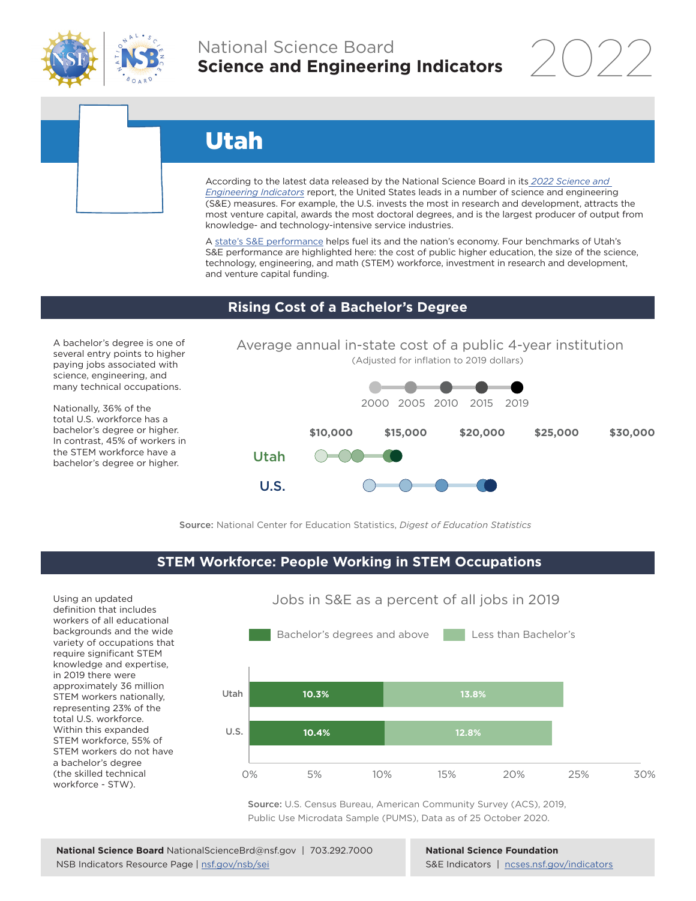

### National Science Board **Science and Engineering Indicators**

2022

# Utah

According to the latest data released by the National Science Board in its *2022 Science and Engineering Indicators* report, the United States leads in a number of science and engineering (S&E) measures. For example, the U.S. invests the most in research and development, attracts the most venture capital, awards the most doctoral degrees, and is the largest producer of output from knowledge- and technology-intensive service industries.

A state's S&E performance helps fuel its and the nation's economy. Four benchmarks of Utah's S&E performance are highlighted here: the cost of public higher education, the size of the science, technology, engineering, and math (STEM) workforce, investment in research and development, and venture capital funding.

#### **Rising Cost of a Bachelor's Degree**

A bachelor's degree is one of several entry points to higher paying jobs associated with science, engineering, and many technical occupations.

Nationally, 36% of the total U.S. workforce has a bachelor's degree or higher. In contrast, 45% of workers in the STEM workforce have a bachelor's degree or higher.



Source: National Center for Education Statistics, *Digest of Education Statistics*

#### **STEM Workforce: People Working in STEM Occupations**

U.S.

Using an updated definition that includes workers of all educational backgrounds and the wide variety of occupations that require significant STEM knowledge and expertise, in 2019 there were approximately 36 million STEM workers nationally, representing 23% of the total U.S. workforce. Within this expanded STEM workforce, 55% of STEM workers do not have a bachelor's degree (the skilled technical workforce - STW).



Source: U.S. Census Bureau, American Community Survey (ACS), 2019, Public Use Microdata Sample (PUMS), Data as of 25 October 2020.

**National Science Foundation** S&E Indicators | ncses.nsf.gov/indicators

### Jobs in S&E as a percent of all jobs in 2019